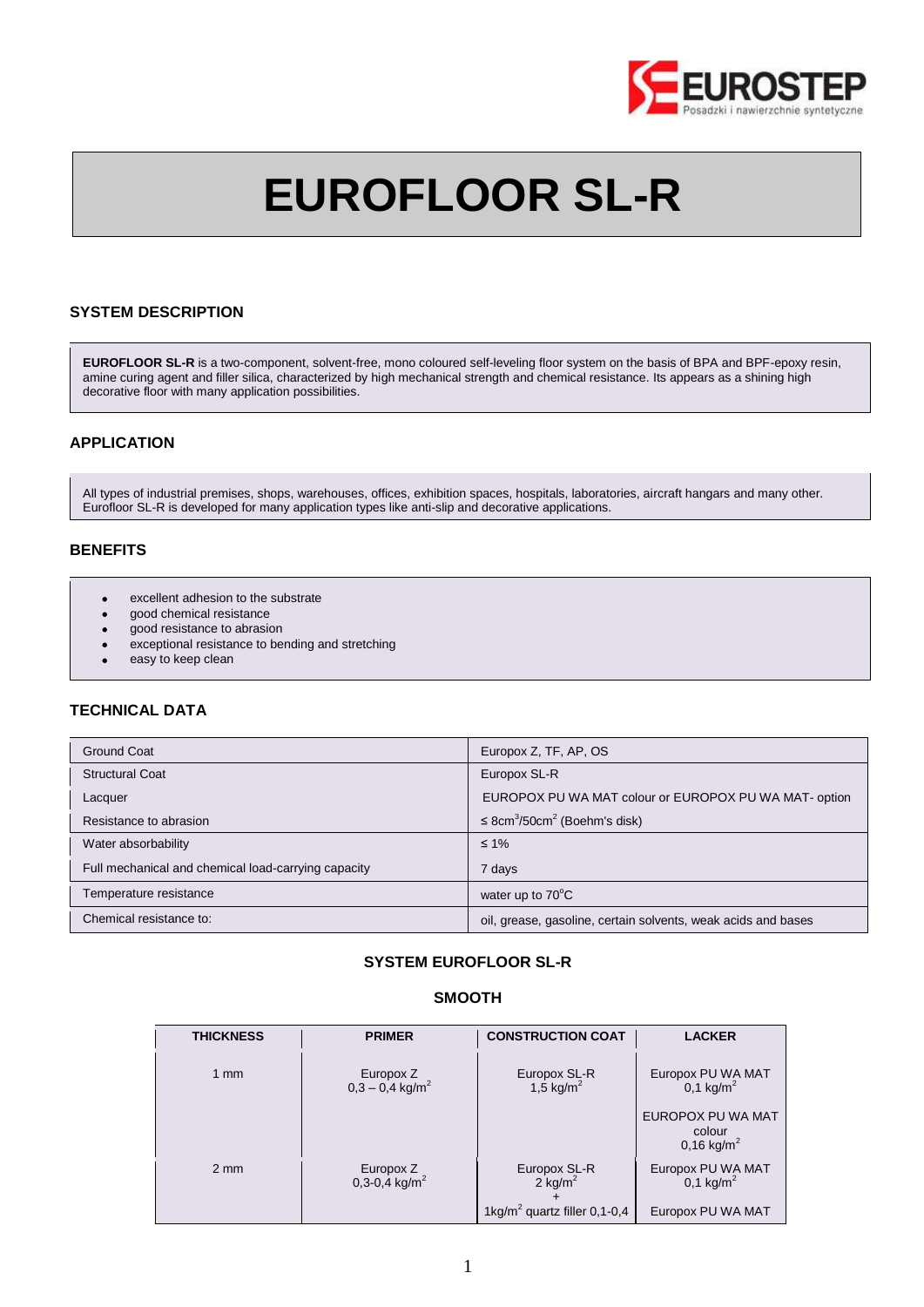

# **EUROFLOOR SL-R**

## **SYSTEM DESCRIPTION**

**EUROFLOOR SL-R** is a two-component, solvent-free, mono coloured self-leveling floor system on the basis of BPA and BPF-epoxy resin, amine curing agent and filler silica, characterized by high mechanical strength and chemical resistance. Its appears as a shining high decorative floor with many application possibilities.

## **APPLICATION**

All types of industrial premises, shops, warehouses, offices, exhibition spaces, hospitals, laboratories, aircraft hangars and many other. Eurofloor SL-R is developed for many application types like anti-slip and decorative applications.

## **BENEFITS**

- excellent adhesion to the substrate  $\bullet$
- good chemical resistance
- good resistance to abrasion  $\bullet$
- exceptional resistance to bending and stretching
- easy to keep clean

# **TECHNICAL DATA**

| Ground Coat                                         | Europox Z, TF, AP, OS                                         |
|-----------------------------------------------------|---------------------------------------------------------------|
| <b>Structural Coat</b>                              | Europox SL-R                                                  |
| Lacquer                                             | EUROPOX PU WA MAT colour or EUROPOX PU WA MAT- option         |
| Resistance to abrasion                              | $\leq$ 8cm <sup>3</sup> /50cm <sup>2</sup> (Boehm's disk)     |
| Water absorbability                                 | $\leq 1\%$                                                    |
| Full mechanical and chemical load-carrying capacity | 7 days                                                        |
| Temperature resistance                              | water up to $70^{\circ}$ C                                    |
| Chemical resistance to:                             | oil, grease, gasoline, certain solvents, weak acids and bases |

# **SYSTEM EUROFLOOR SL-R**

## **SMOOTH**

| <b>THICKNESS</b> | <b>PRIMER</b>                              | <b>CONSTRUCTION COAT</b>                   | <b>LACKER</b>                                        |
|------------------|--------------------------------------------|--------------------------------------------|------------------------------------------------------|
| $1 \text{ mm}$   | Europox Z<br>$0,3 - 0,4$ kg/m <sup>2</sup> | Europox SL-R<br>1,5 kg/m <sup>2</sup>      | Europox PU WA MAT<br>0,1 kg/m <sup>2</sup>           |
|                  |                                            |                                            | EUROPOX PU WA MAT<br>colour<br>$0.16 \text{ kg/m}^2$ |
| $2 \text{ mm}$   | Europox Z<br>$0,3-0,4$ kg/m <sup>2</sup>   | Europox SL-R<br>$2$ kg/m <sup>2</sup>      | Europox PU WA MAT<br>0,1 kg/ $m^2$                   |
|                  |                                            | 1kg/m <sup>2</sup> quartz filler $0,1-0,4$ | Europox PU WA MAT                                    |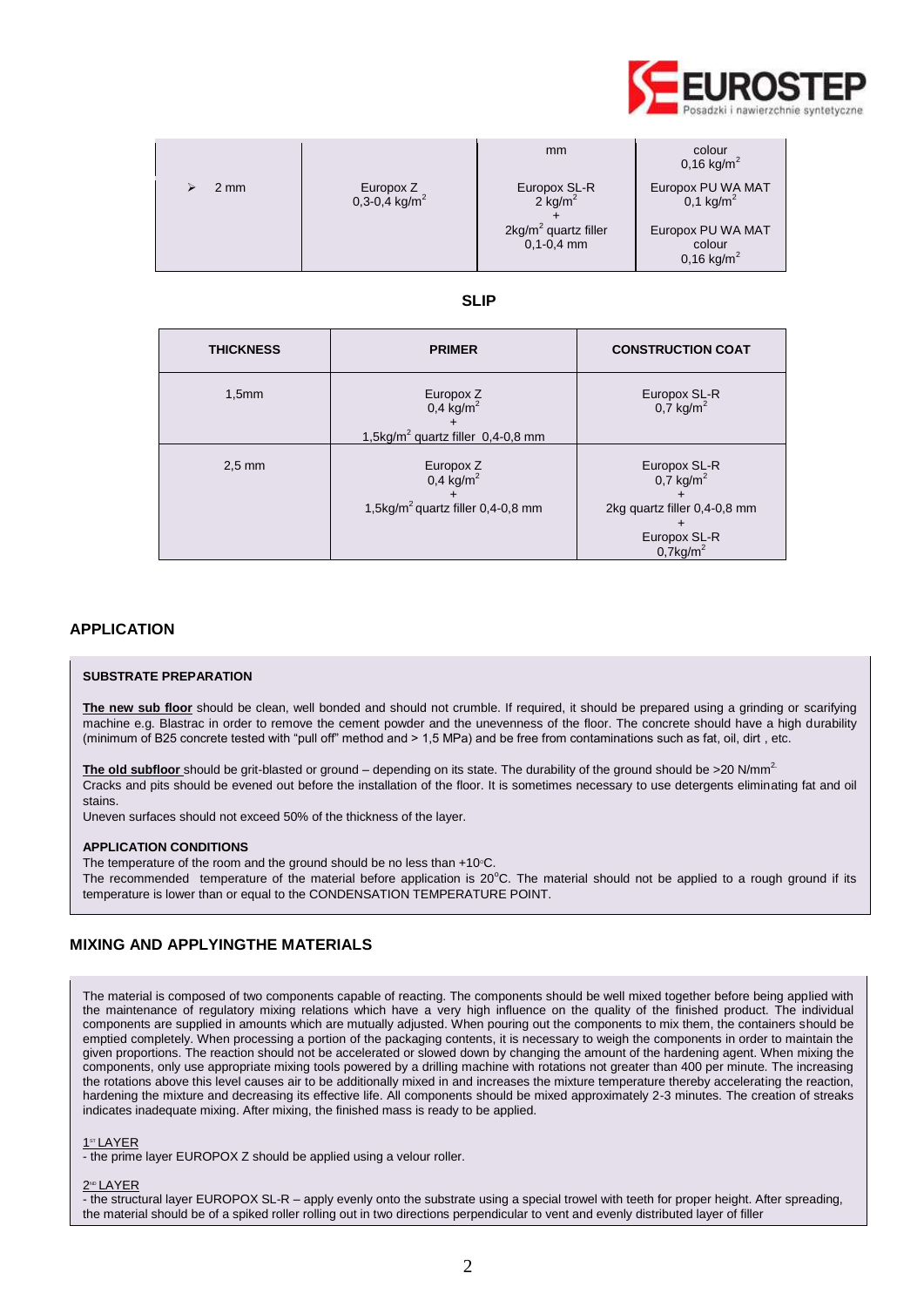

|      |                                        | mm                                     | colour<br>0,16 kg/m <sup>2</sup>                     |
|------|----------------------------------------|----------------------------------------|------------------------------------------------------|
| 2 mm | Europox Z<br>0,3-0,4 kg/m <sup>2</sup> | Europox SL-R<br>$2$ kg/m <sup>2</sup>  | Europox PU WA MAT<br>0,1 kg/ $m^2$                   |
|      |                                        | $2kg/m2$ quartz filler<br>$0,1-0,4$ mm | Europox PU WA MAT<br>colour<br>$0,16 \text{ kg/m}^2$ |

# **SLIP**

| <b>THICKNESS</b> | <b>PRIMER</b>                                                                             | <b>CONSTRUCTION COAT</b>                                                                                           |
|------------------|-------------------------------------------------------------------------------------------|--------------------------------------------------------------------------------------------------------------------|
| 1,5mm            | Europox Z<br>$0,4$ kg/m <sup>2</sup><br>1,5kg/m <sup>2</sup> quartz filler $0,4-0,8$ mm   | Europox SL-R<br>$0,\overline{7}$ kg/m <sup>2</sup>                                                                 |
| $2.5 \text{ mm}$ | Europox $\frac{7}{6}$<br>$0,4$ kg/m <sup>2</sup><br>1,5kg/ $m^2$ quartz filler 0,4-0,8 mm | Europox SL-R<br>$0.7$ kg/m <sup>2</sup><br>2kg quartz filler 0,4-0,8 mm<br>Europox SL-R<br>$0,7$ kg/m <sup>2</sup> |

## **APPLICATION**

## **SUBSTRATE PREPARATION**

**The new sub floor** should be clean, well bonded and should not crumble. If required, it should be prepared using a grinding or scarifying machine e.g. Blastrac in order to remove the cement powder and the unevenness of the floor. The concrete should have a high durability (minimum of B25 concrete tested with "pull off" method and > 1,5 MPa) and be free from contaminations such as fat, oil, dirt , etc.

The old subfloor should be grit-blasted or ground – depending on its state. The durability of the ground should be >20 N/mm<sup>2</sup> Cracks and pits should be evened out before the installation of the floor. It is sometimes necessary to use detergents eliminating fat and oil stains.

Uneven surfaces should not exceed 50% of the thickness of the layer.

### **APPLICATION CONDITIONS**

The temperature of the room and the ground should be no less than  $+10^{\circ}$ C. The recommended temperature of the material before application is  $20^{\circ}$ C. The material should not be applied to a rough ground if its temperature is lower than or equal to the CONDENSATION TEMPERATURE POINT.

## **MIXING AND APPLYINGTHE MATERIALS**

The material is composed of two components capable of reacting. The components should be well mixed together before being applied with the maintenance of regulatory mixing relations which have a very high influence on the quality of the finished product. The individual components are supplied in amounts which are mutually adjusted. When pouring out the components to mix them, the containers should be emptied completely. When processing a portion of the packaging contents, it is necessary to weigh the components in order to maintain the given proportions. The reaction should not be accelerated or slowed down by changing the amount of the hardening agent. When mixing the components, only use appropriate mixing tools powered by a drilling machine with rotations not greater than 400 per minute. The increasing the rotations above this level causes air to be additionally mixed in and increases the mixture temperature thereby accelerating the reaction, hardening the mixture and decreasing its effective life. All components should be mixed approximately 2-3 minutes. The creation of streaks indicates inadequate mixing. After mixing, the finished mass is ready to be applied.

#### 1 ST LAYER

- the prime layer EUROPOX Z should be applied using a velour roller.

#### 2™ LAYER

- the structural layer EUROPOX SL-R – apply evenly onto the substrate using a special trowel with teeth for proper height. After spreading, the material should be of a spiked roller rolling out in two directions perpendicular to vent and evenly distributed layer of filler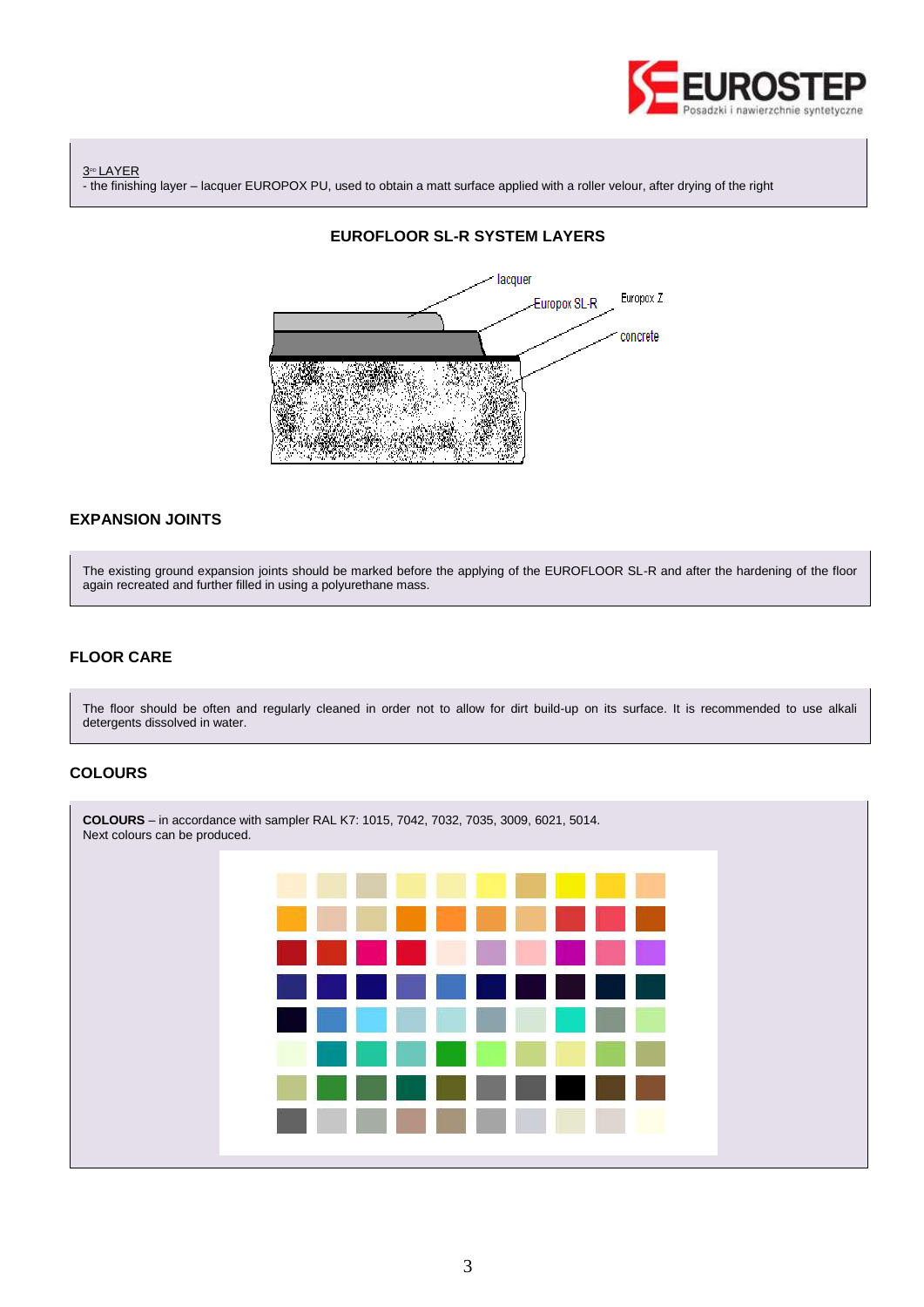

3<sup>RD</sup> LAYER - the finishing layer – lacquer EUROPOX PU, used to obtain a matt surface applied with a roller velour, after drying of the right



## **EXPANSION JOINTS**

The existing ground expansion joints should be marked before the applying of the EUROFLOOR SL-R and after the hardening of the floor again recreated and further filled in using a polyurethane mass.

# **FLOOR CARE**

The floor should be often and regularly cleaned in order not to allow for dirt build-up on its surface. It is recommended to use alkali detergents dissolved in water.

# **COLOURS**